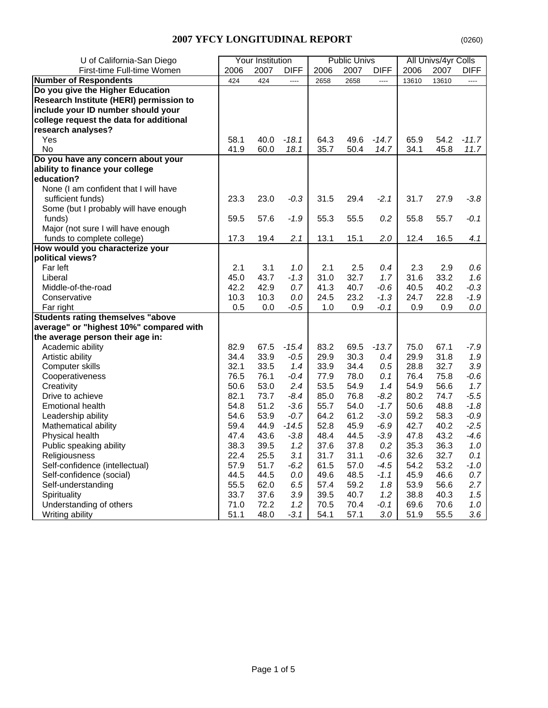# **2007 YFCY LONGITUDINAL REPORT** (0260)

| U of California-San Diego                |      | <b>Your Institution</b> |             |      | <b>Public Univs</b> |                |       | All Univs/4yr Colls |             |
|------------------------------------------|------|-------------------------|-------------|------|---------------------|----------------|-------|---------------------|-------------|
| First-time Full-time Women               | 2006 | 2007                    | <b>DIFF</b> | 2006 | 2007                | <b>DIFF</b>    | 2006  | 2007                | <b>DIFF</b> |
| <b>Number of Respondents</b>             | 424  | 424                     | ----        | 2658 | 2658                | $\overline{a}$ | 13610 | 13610               | $---$       |
| Do you give the Higher Education         |      |                         |             |      |                     |                |       |                     |             |
| Research Institute (HERI) permission to  |      |                         |             |      |                     |                |       |                     |             |
| include your ID number should your       |      |                         |             |      |                     |                |       |                     |             |
| college request the data for additional  |      |                         |             |      |                     |                |       |                     |             |
| research analyses?                       |      |                         |             |      |                     |                |       |                     |             |
| Yes                                      | 58.1 | 40.0                    | $-18.1$     | 64.3 | 49.6                | $-14.7$        | 65.9  | 54.2                | $-11.7$     |
| No                                       | 41.9 | 60.0                    | 18.1        | 35.7 | 50.4                | 14.7           | 34.1  | 45.8                | 11.7        |
| Do you have any concern about your       |      |                         |             |      |                     |                |       |                     |             |
| ability to finance your college          |      |                         |             |      |                     |                |       |                     |             |
| education?                               |      |                         |             |      |                     |                |       |                     |             |
| None (I am confident that I will have    |      |                         |             |      |                     |                |       |                     |             |
| sufficient funds)                        | 23.3 | 23.0                    | $-0.3$      | 31.5 | 29.4                | $-2.1$         | 31.7  | 27.9                | $-3.8$      |
| Some (but I probably will have enough    |      |                         |             |      |                     |                |       |                     |             |
| funds)                                   | 59.5 | 57.6                    | $-1.9$      | 55.3 | 55.5                | 0.2            | 55.8  | 55.7                | $-0.1$      |
| Major (not sure I will have enough       |      |                         |             |      |                     |                |       |                     |             |
| funds to complete college)               | 17.3 | 19.4                    | 2.1         | 13.1 | 15.1                | 2.0            | 12.4  | 16.5                | 4.1         |
| How would you characterize your          |      |                         |             |      |                     |                |       |                     |             |
| political views?                         |      |                         |             |      |                     |                |       |                     |             |
| Far left                                 | 2.1  | 3.1                     | 1.0         | 2.1  | 2.5                 | 0.4            | 2.3   | 2.9                 | 0.6         |
| Liberal                                  | 45.0 | 43.7                    | $-1.3$      | 31.0 | 32.7                | 1.7            | 31.6  | 33.2                | 1.6         |
| Middle-of-the-road                       | 42.2 | 42.9                    | 0.7         | 41.3 | 40.7                | $-0.6$         | 40.5  | 40.2                | $-0.3$      |
| Conservative                             | 10.3 | 10.3                    | $0.0\,$     | 24.5 | 23.2                | $-1.3$         | 24.7  | 22.8                | -1.9        |
| Far right                                | 0.5  | 0.0                     | $-0.5$      | 1.0  | 0.9                 | -0.1           | 0.9   | 0.9                 | $0.0\,$     |
| <b>Students rating themselves "above</b> |      |                         |             |      |                     |                |       |                     |             |
| average" or "highest 10%" compared with  |      |                         |             |      |                     |                |       |                     |             |
| the average person their age in:         |      |                         |             |      |                     |                |       |                     |             |
| Academic ability                         | 82.9 | 67.5                    | $-15.4$     | 83.2 | 69.5                | $-13.7$        | 75.0  | 67.1                | $-7.9$      |
| Artistic ability                         | 34.4 | 33.9                    | $-0.5$      | 29.9 | 30.3                | 0.4            | 29.9  | 31.8                | 1.9         |
| Computer skills                          | 32.1 | 33.5                    | 1.4         | 33.9 | 34.4                | 0.5            | 28.8  | 32.7                | 3.9         |
| Cooperativeness                          | 76.5 | 76.1                    | $-0.4$      | 77.9 | 78.0                | 0.1            | 76.4  | 75.8                | $-0.6$      |
| Creativity                               | 50.6 | 53.0                    | 2.4         | 53.5 | 54.9                | 1.4            | 54.9  | 56.6                | 1.7         |
| Drive to achieve                         | 82.1 | 73.7                    | $-8.4$      | 85.0 | 76.8                | $-8.2$         | 80.2  | 74.7                | $-5.5$      |
| <b>Emotional health</b>                  | 54.8 | 51.2                    | $-3.6$      | 55.7 | 54.0                | $-1.7$         | 50.6  | 48.8                | $-1.8$      |
| Leadership ability                       | 54.6 | 53.9                    | $-0.7$      | 64.2 | 61.2                | $-3.0$         | 59.2  | 58.3                | $-0.9$      |
| Mathematical ability                     | 59.4 | 44.9                    | $-14.5$     | 52.8 | 45.9                | $-6.9$         | 42.7  | 40.2                | $-2.5$      |
| Physical health                          | 47.4 | 43.6                    | $-3.8$      | 48.4 | 44.5                | $-3.9$         | 47.8  | 43.2                | $-4.6$      |
| Public speaking ability                  | 38.3 | 39.5                    | 1.2         | 37.6 | 37.8                | 0.2            | 35.3  | 36.3                | 1.0         |
| Religiousness                            | 22.4 | 25.5                    | 3.1         | 31.7 | 31.1                | $-0.6$         | 32.6  | 32.7                | 0.1         |
| Self-confidence (intellectual)           | 57.9 | 51.7                    | $-6.2$      | 61.5 | 57.0                | $-4.5$         | 54.2  | 53.2                | -1.0        |
| Self-confidence (social)                 | 44.5 | 44.5                    | $0.0\,$     | 49.6 | 48.5                | $-1.1$         | 45.9  | 46.6                | 0.7         |
| Self-understanding                       | 55.5 | 62.0                    | 6.5         | 57.4 | 59.2                | 1.8            | 53.9  | 56.6                | 2.7         |
| Spirituality                             | 33.7 | 37.6                    | 3.9         | 39.5 | 40.7                | 1.2            | 38.8  | 40.3                | 1.5         |
| Understanding of others                  | 71.0 | 72.2                    | 1.2         | 70.5 | 70.4                | $-0.1$         | 69.6  | 70.6                | 1.0         |
| Writing ability                          | 51.1 | 48.0                    | $-3.1$      | 54.1 | 57.1                | 3.0            | 51.9  | 55.5                | 3.6         |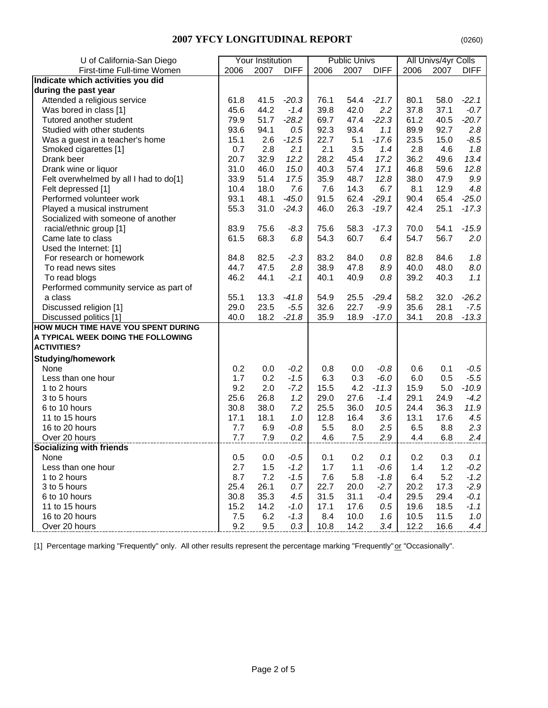#### **2007 YFCY LONGITUDINAL REPORT** (0260)

| U of California-San Diego              |      | Your Institution |             |      | <b>Public Univs</b> |             |      | All Univs/4yr Colls |             |
|----------------------------------------|------|------------------|-------------|------|---------------------|-------------|------|---------------------|-------------|
| First-time Full-time Women             | 2006 | 2007             | <b>DIFF</b> | 2006 | 2007                | <b>DIFF</b> | 2006 | 2007                | <b>DIFF</b> |
| Indicate which activities you did      |      |                  |             |      |                     |             |      |                     |             |
| during the past year                   |      |                  |             |      |                     |             |      |                     |             |
| Attended a religious service           | 61.8 | 41.5             | $-20.3$     | 76.1 | 54.4                | $-21.7$     | 80.1 | 58.0                | $-22.1$     |
| Was bored in class [1]                 | 45.6 | 44.2             | $-1.4$      | 39.8 | 42.0                | 2.2         | 37.8 | 37.1                | $-0.7$      |
| Tutored another student                | 79.9 | 51.7             | $-28.2$     | 69.7 | 47.4                | $-22.3$     | 61.2 | 40.5                | $-20.7$     |
| Studied with other students            | 93.6 | 94.1             | 0.5         | 92.3 | 93.4                | 1.1         | 89.9 | 92.7                | 2.8         |
| Was a guest in a teacher's home        | 15.1 | 2.6              | $-12.5$     | 22.7 | 5.1                 | $-17.6$     | 23.5 | 15.0                | $-8.5$      |
| Smoked cigarettes [1]                  | 0.7  | 2.8              | 2.1         | 2.1  | 3.5                 | 1.4         | 2.8  | 4.6                 | 1.8         |
| Drank beer                             | 20.7 | 32.9             | 12.2        | 28.2 | 45.4                | 17.2        | 36.2 | 49.6                | 13.4        |
| Drank wine or liquor                   | 31.0 | 46.0             | 15.0        | 40.3 | 57.4                | 17.1        | 46.8 | 59.6                | 12.8        |
| Felt overwhelmed by all I had to do[1] | 33.9 | 51.4             | 17.5        | 35.9 | 48.7                | 12.8        | 38.0 | 47.9                | 9.9         |
| Felt depressed [1]                     | 10.4 | 18.0             | 7.6         | 7.6  | 14.3                | 6.7         | 8.1  | 12.9                | 4.8         |
| Performed volunteer work               | 93.1 | 48.1             | $-45.0$     | 91.5 | 62.4                | $-29.1$     | 90.4 | 65.4                | $-25.0$     |
| Played a musical instrument            | 55.3 | 31.0             | $-24.3$     | 46.0 | 26.3                | $-19.7$     | 42.4 | 25.1                | $-17.3$     |
| Socialized with someone of another     |      |                  |             |      |                     |             |      |                     |             |
| racial/ethnic group [1]                | 83.9 | 75.6             | $-8.3$      | 75.6 | 58.3                | $-17.3$     | 70.0 | 54.1                | $-15.9$     |
| Came late to class                     | 61.5 | 68.3             | 6.8         | 54.3 | 60.7                | 6.4         | 54.7 | 56.7                | 2.0         |
| Used the Internet: [1]                 |      |                  |             |      |                     |             |      |                     |             |
| For research or homework               | 84.8 | 82.5             | $-2.3$      | 83.2 | 84.0                | 0.8         | 82.8 | 84.6                | 1.8         |
| To read news sites                     | 44.7 | 47.5             | 2.8         | 38.9 | 47.8                | 8.9         | 40.0 | 48.0                | 8.0         |
| To read blogs                          | 46.2 | 44.1             | $-2.1$      | 40.1 | 40.9                | 0.8         | 39.2 | 40.3                | 1.1         |
| Performed community service as part of |      |                  |             |      |                     |             |      |                     |             |
| a class                                | 55.1 | 13.3             | $-41.8$     | 54.9 | 25.5                | $-29.4$     | 58.2 | 32.0                | $-26.2$     |
| Discussed religion [1]                 | 29.0 | 23.5             | $-5.5$      | 32.6 | 22.7                | $-9.9$      | 35.6 | 28.1                | $-7.5$      |
| Discussed politics [1]                 | 40.0 | 18.2             | $-21.8$     | 35.9 | 18.9                | $-17.0$     | 34.1 | 20.8                | $-13.3$     |
| HOW MUCH TIME HAVE YOU SPENT DURING    |      |                  |             |      |                     |             |      |                     |             |
| A TYPICAL WEEK DOING THE FOLLOWING     |      |                  |             |      |                     |             |      |                     |             |
| <b>ACTIVITIES?</b>                     |      |                  |             |      |                     |             |      |                     |             |
| <b>Studying/homework</b>               |      |                  |             |      |                     |             |      |                     |             |
| None                                   | 0.2  | 0.0              | $-0.2$      | 0.8  | 0.0                 | $-0.8$      | 0.6  | 0.1                 | $-0.5$      |
| Less than one hour                     | 1.7  | 0.2              | $-1.5$      | 6.3  | 0.3                 | $-6.0$      | 6.0  | 0.5                 | $-5.5$      |
| 1 to 2 hours                           | 9.2  | 2.0              | $-7.2$      | 15.5 | 4.2                 | $-11.3$     | 15.9 | 5.0                 | $-10.9$     |
| 3 to 5 hours                           | 25.6 | 26.8             | 1.2         | 29.0 | 27.6                | $-1.4$      | 29.1 | 24.9                | $-4.2$      |
| 6 to 10 hours                          | 30.8 | 38.0             | 7.2         | 25.5 | 36.0                | 10.5        | 24.4 | 36.3                | 11.9        |
| 11 to 15 hours                         | 17.1 | 18.1             | 1.0         | 12.8 | 16.4                | 3.6         | 13.1 | 17.6                | 4.5         |
| 16 to 20 hours                         | 7.7  | 6.9              | $-0.8$      | 5.5  | 8.0                 | 2.5         | 6.5  | 8.8                 | 2.3         |
| Over 20 hours                          | 7.7  | 7.9              | 0.2         | 4.6  | 7.5                 | 2.9         | 4.4  | 6.8                 | 2.4         |
| <b>Socializing with friends</b>        |      |                  |             |      |                     |             |      |                     |             |
| None                                   | 0.5  | $0.0\,$          | $-0.5$      | 0.1  | 0.2                 | 0.1         | 0.2  | 0.3                 | 0.1         |
| Less than one hour                     | 2.7  | 1.5              | $-1.2$      | 1.7  | 1.1                 | $-0.6$      | 1.4  | 1.2                 | $-0.2$      |
| 1 to 2 hours                           | 8.7  | 7.2              | $-1.5$      | 7.6  | 5.8                 | $-1.8$      | 6.4  | 5.2                 | $-1.2$      |
| 3 to 5 hours                           | 25.4 | 26.1             | 0.7         | 22.7 | 20.0                | $-2.7$      | 20.2 | 17.3                | $-2.9$      |
| 6 to 10 hours                          | 30.8 | 35.3             | 4.5         | 31.5 | 31.1                | $-0.4$      | 29.5 | 29.4                | $-0.1$      |
| 11 to 15 hours                         | 15.2 | 14.2             | $-1.0$      | 17.1 | 17.6                | 0.5         | 19.6 | 18.5                | $-1.1$      |
| 16 to 20 hours                         | 7.5  | 6.2              | $-1.3$      | 8.4  | 10.0                | 1.6         | 10.5 | 11.5                | 1.0         |
| Over 20 hours                          | 9.2  | 9.5              | 0.3         | 10.8 | 14.2                | 3.4         | 12.2 | 16.6                | 4.4         |

[1] Percentage marking "Frequently" only. All other results represent the percentage marking "Frequently" or "Occasionally".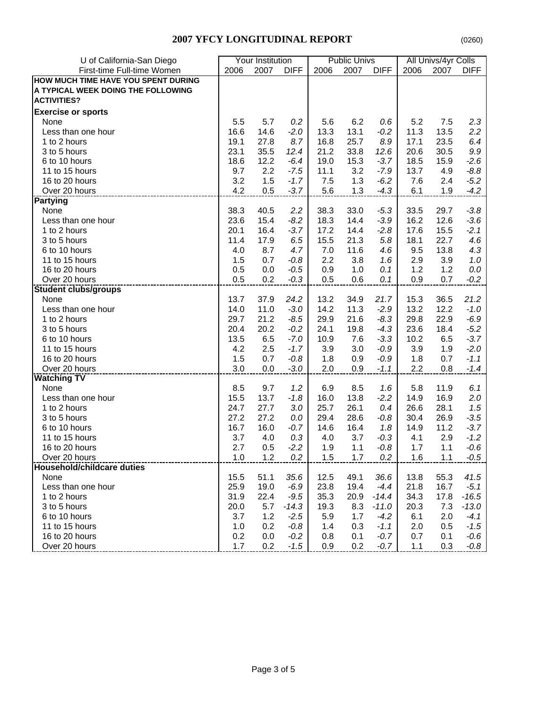### **2007 YFCY LONGITUDINAL REPORT**

|--|

| U of California-San Diego           |      | Your Institution |             |      | <b>Public Univs</b> |             |      | All Univs/4yr Colls |             |
|-------------------------------------|------|------------------|-------------|------|---------------------|-------------|------|---------------------|-------------|
| First-time Full-time Women          | 2006 | 2007             | <b>DIFF</b> | 2006 | 2007                | <b>DIFF</b> | 2006 | 2007                | <b>DIFF</b> |
| HOW MUCH TIME HAVE YOU SPENT DURING |      |                  |             |      |                     |             |      |                     |             |
| A TYPICAL WEEK DOING THE FOLLOWING  |      |                  |             |      |                     |             |      |                     |             |
| <b>ACTIVITIES?</b>                  |      |                  |             |      |                     |             |      |                     |             |
|                                     |      |                  |             |      |                     |             |      |                     |             |
| <b>Exercise or sports</b>           |      |                  |             |      |                     |             |      |                     |             |
| None                                | 5.5  | 5.7              | 0.2         | 5.6  | 6.2                 | 0.6         | 5.2  | 7.5                 | 2.3         |
| Less than one hour                  | 16.6 | 14.6             | $-2.0$      | 13.3 | 13.1                | $-0.2$      | 11.3 | 13.5                | 2.2         |
| 1 to 2 hours                        | 19.1 | 27.8             | 8.7         | 16.8 | 25.7                | 8.9         | 17.1 | 23.5                | 6.4         |
| 3 to 5 hours                        | 23.1 | 35.5             | 12.4        | 21.2 | 33.8                | 12.6        | 20.6 | 30.5                | 9.9         |
| 6 to 10 hours                       | 18.6 | 12.2             | $-6.4$      | 19.0 | 15.3                | $-3.7$      | 18.5 | 15.9                | $-2.6$      |
| 11 to 15 hours                      | 9.7  | 2.2              | $-7.5$      | 11.1 | 3.2                 | $-7.9$      | 13.7 | 4.9                 | $-8.8$      |
| 16 to 20 hours                      | 3.2  | 1.5              | $-1.7$      | 7.5  | 1.3                 | $-6.2$      | 7.6  | 2.4                 | $-5.2$      |
| Over 20 hours                       | 4.2  | 0.5              | $-3.7$      | 5.6  | 1.3                 | $-4.3$      | 6.1  | 1.9                 | $-4.2$      |
| <b>Partying</b>                     |      |                  |             |      |                     |             |      |                     |             |
| None                                | 38.3 | 40.5             | 2.2         | 38.3 | 33.0                | $-5.3$      | 33.5 | 29.7                | $-3.8$      |
| Less than one hour                  | 23.6 | 15.4             | $-8.2$      | 18.3 | 14.4                | $-3.9$      | 16.2 | 12.6                | $-3.6$      |
| 1 to 2 hours                        | 20.1 | 16.4             | $-3.7$      | 17.2 | 14.4                | $-2.8$      | 17.6 | 15.5                | $-2.1$      |
| 3 to 5 hours                        | 11.4 | 17.9             | 6.5         | 15.5 | 21.3                | 5.8         | 18.1 | 22.7                | 4.6         |
| 6 to 10 hours                       | 4.0  | 8.7              | 4.7         | 7.0  | 11.6                | 4.6         | 9.5  | 13.8                | 4.3         |
| 11 to 15 hours                      | 1.5  | 0.7              | $-0.8$      | 2.2  | 3.8                 | 1.6         | 2.9  | 3.9                 | 1.0         |
| 16 to 20 hours                      | 0.5  | 0.0              | $-0.5$      | 0.9  | 1.0                 | 0.1         | 1.2  | 1.2                 | 0.0         |
| Over 20 hours                       | 0.5  | 0.2              | $-0.3$      | 0.5  | 0.6                 | 0.1         | 0.9  | 0.7                 | $-0.2$      |
| <b>Student clubs/groups</b>         |      |                  |             |      |                     |             |      |                     |             |
| None                                | 13.7 | 37.9             | 24.2        | 13.2 | 34.9                | 21.7        | 15.3 | 36.5                | 21.2        |
| Less than one hour                  | 14.0 | 11.0             | $-3.0$      | 14.2 | 11.3                | $-2.9$      | 13.2 | 12.2                | $-1.0$      |
| 1 to 2 hours                        | 29.7 | 21.2             | $-8.5$      | 29.9 | 21.6                | $-8.3$      | 29.8 | 22.9                | $-6.9$      |
| 3 to 5 hours                        | 20.4 | 20.2             | $-0.2$      | 24.1 | 19.8                | $-4.3$      | 23.6 | 18.4                | $-5.2$      |
| 6 to 10 hours                       | 13.5 | 6.5              | $-7.0$      | 10.9 | 7.6                 | $-3.3$      | 10.2 | 6.5                 | $-3.7$      |
| 11 to 15 hours                      | 4.2  | 2.5              | $-1.7$      | 3.9  | 3.0                 | $-0.9$      | 3.9  | 1.9                 | $-2.0$      |
| 16 to 20 hours                      | 1.5  | 0.7              | $-0.8$      | 1.8  | 0.9                 | $-0.9$      | 1.8  | 0.7                 | $-1.1$      |
| Over 20 hours                       | 3.0  | 0.0              | $-3.0$      | 2.0  | 0.9                 | $-1.1$      | 2.2  | 0.8                 | $-1.4$      |
| <b>Watching TV</b>                  |      |                  |             |      |                     |             |      |                     |             |
| None                                | 8.5  | 9.7              | 1.2         | 6.9  | 8.5                 | 1.6         | 5.8  | 11.9                | 6.1         |
| Less than one hour                  | 15.5 | 13.7             | $-1.8$      | 16.0 | 13.8                | $-2.2$      | 14.9 | 16.9                | 2.0         |
| 1 to 2 hours                        | 24.7 | 27.7             | 3.0         | 25.7 | 26.1                | 0.4         | 26.6 | 28.1                | 1.5         |
| 3 to 5 hours                        | 27.2 | 27.2             | 0.0         | 29.4 | 28.6                | $-0.8$      | 30.4 | 26.9                | $-3.5$      |
| 6 to 10 hours                       | 16.7 | 16.0             | $-0.7$      | 14.6 | 16.4                | 1.8         | 14.9 | 11.2                | $-3.7$      |
| 11 to 15 hours                      | 3.7  |                  |             |      | 3.7                 |             |      | 2.9                 |             |
|                                     |      | 4.0              | 0.3         | 4.0  |                     | $-0.3$      | 4.1  |                     | $-1.2$      |
| 16 to 20 hours                      | 2.7  | 0.5              | $-2.2$      | 1.9  | 1.1                 | $-0.8$      | 1.7  | 1.1                 | $-0.6$      |
| Over 20 hours                       | 1.0  | 1.2              | 0.2         | 1.5  | 1.7                 | 0.2         | 1.6  | 1.1                 | $-0.5$      |
| <b>Household/childcare duties</b>   |      |                  |             |      |                     |             |      |                     |             |
| None                                | 15.5 | 51.1             | 35.6        | 12.5 | 49.1                | 36.6        | 13.8 | 55.3                | 41.5        |
| Less than one hour                  | 25.9 | 19.0             | $-6.9$      | 23.8 | 19.4                | $-4.4$      | 21.8 | 16.7                | $-5.1$      |
| 1 to 2 hours                        | 31.9 | 22.4             | $-9.5$      | 35.3 | 20.9                | $-14.4$     | 34.3 | 17.8                | $-16.5$     |
| 3 to 5 hours                        | 20.0 | 5.7              | $-14.3$     | 19.3 | 8.3                 | $-11.0$     | 20.3 | 7.3                 | $-13.0$     |
| 6 to 10 hours                       | 3.7  | 1.2              | $-2.5$      | 5.9  | 1.7                 | $-4.2$      | 6.1  | 2.0                 | $-4.1$      |
| 11 to 15 hours                      | 1.0  | 0.2              | $-0.8$      | 1.4  | 0.3                 | $-1.1$      | 2.0  | 0.5                 | $-1.5$      |
| 16 to 20 hours                      | 0.2  | 0.0              | $-0.2$      | 0.8  | 0.1                 | $-0.7$      | 0.7  | 0.1                 | $-0.6$      |
| Over 20 hours                       | 1.7  | 0.2              | $-1.5$      | 0.9  | 0.2                 | $-0.7$      | 1.1  | 0.3                 | $-0.8$      |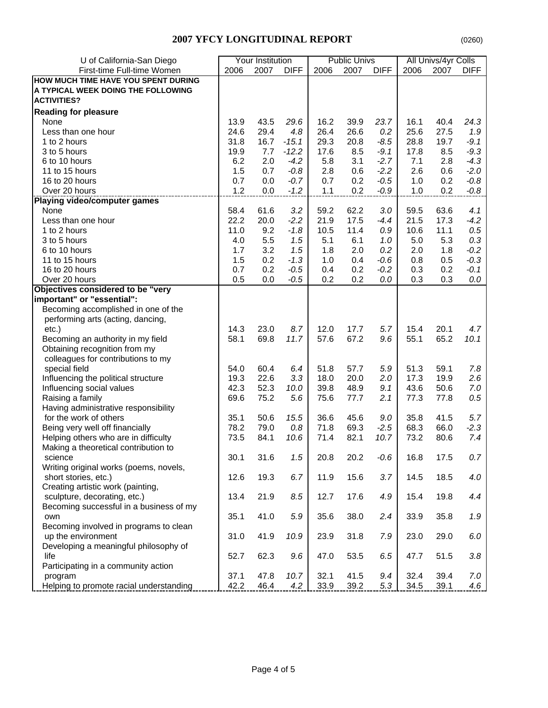### **2007 YFCY LONGITUDINAL REPORT**

| U of California-San Diego                          |             | Your Institution |                  |              | <b>Public Univs</b> |                  |             | All Univs/4yr Colls |                  |
|----------------------------------------------------|-------------|------------------|------------------|--------------|---------------------|------------------|-------------|---------------------|------------------|
| First-time Full-time Women                         | 2006        | 2007             | <b>DIFF</b>      | 2006         | 2007                | <b>DIFF</b>      | 2006        | 2007                | <b>DIFF</b>      |
| HOW MUCH TIME HAVE YOU SPENT DURING                |             |                  |                  |              |                     |                  |             |                     |                  |
| A TYPICAL WEEK DOING THE FOLLOWING                 |             |                  |                  |              |                     |                  |             |                     |                  |
| <b>ACTIVITIES?</b>                                 |             |                  |                  |              |                     |                  |             |                     |                  |
| <b>Reading for pleasure</b>                        |             |                  |                  |              |                     |                  |             |                     |                  |
| None                                               | 13.9        | 43.5             | 29.6             | 16.2         | 39.9                | 23.7             | 16.1        | 40.4                | 24.3             |
| Less than one hour                                 | 24.6        | 29.4             | 4.8              | 26.4         | 26.6                | 0.2              | 25.6        | 27.5                | 1.9              |
| 1 to 2 hours                                       | 31.8        | 16.7             | $-15.1$          | 29.3         | 20.8                | $-8.5$           | 28.8        | 19.7                | $-9.1$           |
| 3 to 5 hours                                       |             | 7.7              | $-12.2$          |              | 8.5                 |                  |             |                     | $-9.3$           |
| 6 to 10 hours                                      | 19.9<br>6.2 | 2.0              | $-4.2$           | 17.6<br>5.8  | 3.1                 | $-9.1$<br>$-2.7$ | 17.8<br>7.1 | 8.5                 | $-4.3$           |
| 11 to 15 hours                                     | 1.5         | 0.7              | $-0.8$           | 2.8          | 0.6                 | $-2.2$           | 2.6         | 2.8<br>0.6          | $-2.0$           |
| 16 to 20 hours                                     | 0.7         | 0.0              | $-0.7$           | 0.7          | 0.2                 | $-0.5$           | 1.0         | 0.2                 |                  |
| Over 20 hours                                      |             | 0.0              | $-1.2$           |              | 0.2                 | $-0.9$           | 1.0         | 0.2                 | $-0.8$<br>$-0.8$ |
|                                                    | 1.2         |                  |                  | 1.1          |                     |                  |             |                     |                  |
| <b>Playing video/computer games</b>                | 58.4        | 61.6             | 3.2              |              | 62.2                |                  | 59.5        | 63.6                | 4.1              |
| None                                               | 22.2        | 20.0             |                  | 59.2<br>21.9 | 17.5                | 3.0<br>$-4.4$    | 21.5        | 17.3                | $-4.2$           |
| Less than one hour<br>1 to 2 hours                 | 11.0        | 9.2              | $-2.2$<br>$-1.8$ | 10.5         | 11.4                |                  |             | 11.1                |                  |
| 3 to 5 hours                                       |             | 5.5              | 1.5              | 5.1          | 6.1                 | $0.9\,$          | 10.6<br>5.0 | 5.3                 | 0.5<br>0.3       |
|                                                    | 4.0         |                  |                  |              |                     | 1.0              |             |                     |                  |
| 6 to 10 hours                                      | 1.7         | 3.2<br>0.2       | 1.5              | 1.8          | 2.0                 | 0.2              | 2.0         | 1.8                 | $-0.2$           |
| 11 to 15 hours                                     | 1.5         |                  | $-1.3$           | 1.0          | 0.4                 | $-0.6$           | 0.8         | 0.5                 | $-0.3$           |
| 16 to 20 hours                                     | 0.7<br>0.5  | 0.2<br>0.0       | $-0.5$           | 0.4<br>0.2   | 0.2<br>0.2          | $-0.2$           | 0.3<br>0.3  | 0.2<br>0.3          | $-0.1$<br>0.0    |
| Over 20 hours<br>Objectives considered to be "very |             |                  | $-0.5$           |              |                     | 0.0              |             |                     |                  |
| important" or "essential":                         |             |                  |                  |              |                     |                  |             |                     |                  |
| Becoming accomplished in one of the                |             |                  |                  |              |                     |                  |             |                     |                  |
| performing arts (acting, dancing,                  |             |                  |                  |              |                     |                  |             |                     |                  |
| $etc.$ )                                           | 14.3        | 23.0             | 8.7              | 12.0         | 17.7                | 5.7              | 15.4        | 20.1                | 4.7              |
| Becoming an authority in my field                  | 58.1        | 69.8             | 11.7             | 57.6         | 67.2                | 9.6              | 55.1        | 65.2                | 10.1             |
| Obtaining recognition from my                      |             |                  |                  |              |                     |                  |             |                     |                  |
| colleagues for contributions to my                 |             |                  |                  |              |                     |                  |             |                     |                  |
| special field                                      | 54.0        | 60.4             | 6.4              | 51.8         | 57.7                | 5.9              | 51.3        | 59.1                | 7.8              |
| Influencing the political structure                | 19.3        | 22.6             | 3.3              | 18.0         | 20.0                | 2.0              | 17.3        | 19.9                | 2.6              |
| Influencing social values                          | 42.3        | 52.3             | 10.0             | 39.8         | 48.9                | 9.1              | 43.6        | 50.6                | 7.0              |
| Raising a family                                   | 69.6        | 75.2             | 5.6              | 75.6         | 77.7                | 2.1              | 77.3        | 77.8                | 0.5              |
| Having administrative responsibility               |             |                  |                  |              |                     |                  |             |                     |                  |
| for the work of others                             | 35.1        | 50.6             | 15.5             | 36.6         | 45.6                | 9.0              | 35.8        | 41.5                | 5.7              |
| Being very well off financially                    | 78.2        | 79.0             | 0.8              | 71.8         | 69.3                | $-2.5$           | 68.3        | 66.0                | $-2.3$           |
| Helping others who are in difficulty               | 73.5        | 84.1             | 10.6             | 71.4         | 82.1                | 10.7             | 73.2        | 80.6                | 7.4              |
| Making a theoretical contribution to               |             |                  |                  |              |                     |                  |             |                     |                  |
| science                                            | 30.1        | 31.6             | 1.5              | 20.8         | 20.2                | $-0.6$           | 16.8        | 17.5                | 0.7              |
| Writing original works (poems, novels,             |             |                  |                  |              |                     |                  |             |                     |                  |
| short stories, etc.)                               | 12.6        | 19.3             | 6.7              | 11.9         | 15.6                | 3.7              | 14.5        | 18.5                | 4.0              |
| Creating artistic work (painting,                  |             |                  |                  |              |                     |                  |             |                     |                  |
| sculpture, decorating, etc.)                       | 13.4        | 21.9             | 8.5              | 12.7         | 17.6                | 4.9              | 15.4        | 19.8                | 4.4              |
| Becoming successful in a business of my            |             |                  |                  |              |                     |                  |             |                     |                  |
| own                                                | 35.1        | 41.0             | 5.9              | 35.6         | 38.0                | 2.4              | 33.9        | 35.8                | 1.9              |
| Becoming involved in programs to clean             |             |                  |                  |              |                     |                  |             |                     |                  |
| up the environment                                 | 31.0        | 41.9             | 10.9             | 23.9         | 31.8                | 7.9              | 23.0        | 29.0                | $6.0\,$          |
| Developing a meaningful philosophy of              |             |                  |                  |              |                     |                  |             |                     |                  |
| life                                               | 52.7        | 62.3             | 9.6              | 47.0         | 53.5                | 6.5              | 47.7        | 51.5                | 3.8              |
| Participating in a community action                |             |                  |                  |              |                     |                  |             |                     |                  |
| program                                            | 37.1        | 47.8             | 10.7             | 32.1         | 41.5                | 9.4              | 32.4        | 39.4                | 7.0              |
| Helping to promote racial understanding            | 42.2        | 46.4             | 4.2              | 33.9         | 39.2                | 5.3              | 34.5        | 39.1                | 4.6              |